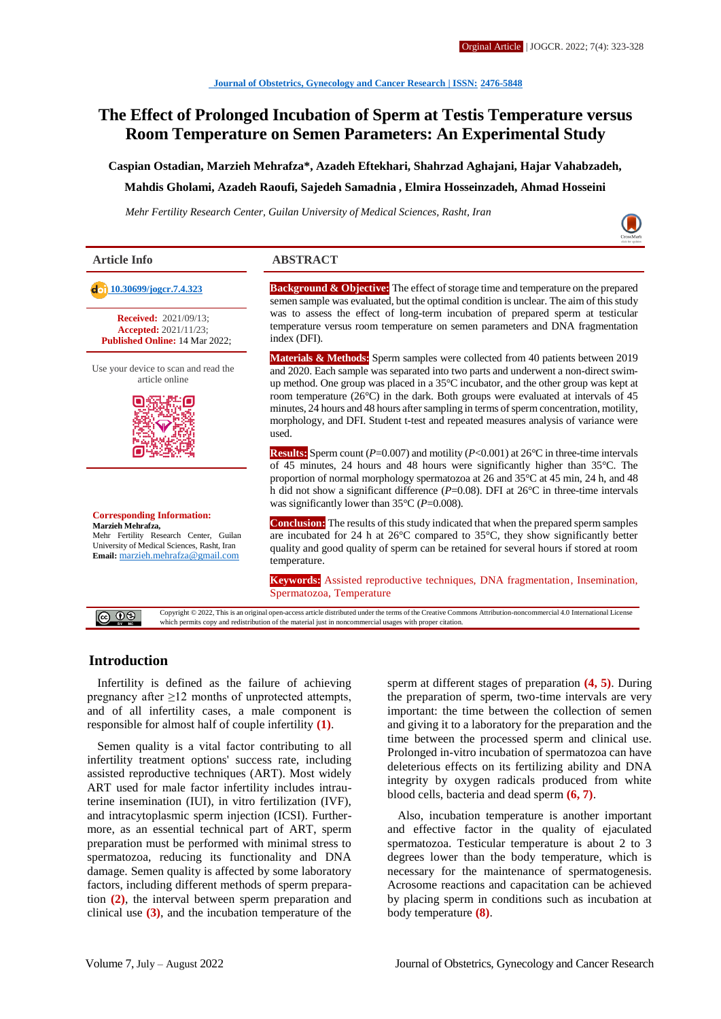# **The Effect of Prolonged Incubation of Sperm at Testis Temperature versus Room Temperature on Semen Parameters: An Experimental Study**

**Caspian Ostadian, Marzieh Mehrafza\*, Azadeh Eftekhari, Shahrzad Aghajani, Hajar Vahabzadeh,** 

#### **Mahdis Gholami, Azadeh Raoufi, Sajedeh Samadnia , Elmira Hosseinzadeh, Ahmad Hosseini**

*Mehr Fertility Research Center, Guilan University of Medical Sciences, Rasht, Iran*



**Article Info ABSTRACT**

**Received:** 2021/09/13;

**Accepted:** 2021/11/23; **Published Online:** 14 Mar 2022;

Use your device to scan and read the article online



**Corresponding Information: Marzieh Mehrafza,** Mehr Fertility Research Center, Guilan University of Medical Sciences, Rasht, Iran **Email:** [marzieh.mehrafza@gmail.com](mailto:marzieh.mehrafza@gmail.com)

which permits copy and redistribution of the material just in noncommercial usages with proper citation.

**[10.30699/jogcr.7.4.323](http://dx.doi.org/10.30699/jogcr.7.4.323) Background & Objective:** The effect of storage time and temperature on the prepared semen sample was evaluated, but the optimal condition is unclear. The aim of this study was to assess the effect of long-term incubation of prepared sperm at testicular temperature versus room temperature on semen parameters and DNA fragmentation index (DFI).

> **Materials & Methods:** Sperm samples were collected from 40 patients between 2019 and 2020. Each sample was separated into two parts and underwent a non-direct swimup method. One group was placed in a 35°C incubator, and the other group was kept at room temperature (26°C) in the dark. Both groups were evaluated at intervals of 45 minutes, 24 hours and 48 hours after sampling in terms of sperm concentration, motility, morphology, and DFI. Student t-test and repeated measures analysis of variance were used.

> **Results:** Sperm count (*P*=0.007) and motility (*P*<0.001) at 26°C in three-time intervals of 45 minutes, 24 hours and 48 hours were significantly higher than 35°C. The proportion of normal morphology spermatozoa at 26 and 35°C at 45 min, 24 h, and 48 h did not show a significant difference (*P*=0.08). DFI at 26°C in three-time intervals was significantly lower than 35°C (*P*=0.008).

> **Conclusion:** The results of this study indicated that when the prepared sperm samples are incubated for 24 h at 26°C compared to 35°C, they show significantly better quality and good quality of sperm can be retained for several hours if stored at room temperature.

> **Keywords:** Assisted reproductive techniques, DNA fragmentation, Insemination, Spermatozoa, Temperature

Copyright © 2022, This is an original open-access article distributed under the terms of the Creative Commons Attribution-noncommercial 4.0 International License

 $\circledcirc$ 

#### **Introduction**

Infertility is defined as the failure of achieving pregnancy after ≥12 months of unprotected attempts, and of all infertility cases, a male component is responsible for almost half of couple infertility **(1)**.

Semen quality is a vital factor contributing to all infertility treatment options' success rate, including assisted reproductive techniques (ART). Most widely ART used for male factor infertility includes intrauterine insemination (IUI), in vitro fertilization (IVF), and intracytoplasmic sperm injection (ICSI). Furthermore, as an essential technical part of ART, sperm preparation must be performed with minimal stress to spermatozoa, reducing its functionality and DNA damage. Semen quality is affected by some laboratory factors, including different methods of sperm preparation **(2)**, the interval between sperm preparation and clinical use **(3)**, and the incubation temperature of the sperm at different stages of preparation **(4, 5)**. During the preparation of sperm, two-time intervals are very important: the time between the collection of semen and giving it to a laboratory for the preparation and the time between the processed sperm and clinical use. Prolonged in-vitro incubation of spermatozoa can have deleterious effects on its fertilizing ability and DNA integrity by oxygen radicals produced from white blood cells, bacteria and dead sperm **(6, 7)**.

Also, incubation temperature is another important and effective factor in the quality of ejaculated spermatozoa. Testicular temperature is about 2 to 3 degrees lower than the body temperature, which is necessary for the maintenance of spermatogenesis. Acrosome reactions and capacitation can be achieved by placing sperm in conditions such as incubation at body temperature **(8)**.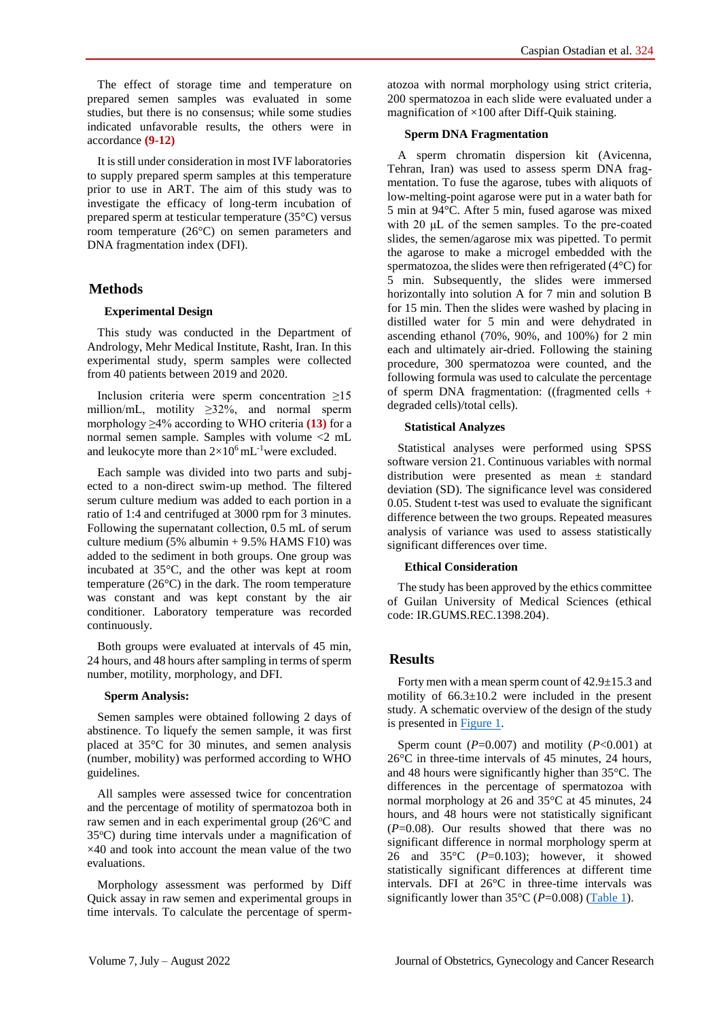The effect of storage time and temperature on prepared semen samples was evaluated in some studies, but there is no consensus; while some studies indicated unfavorable results, the others were in accordance **(9-12)**

It is still under consideration in most IVF laboratories to supply prepared sperm samples at this temperature prior to use in ART. The aim of this study was to investigate the efficacy of long-term incubation of prepared sperm at testicular temperature (35°C) versus room temperature (26°C) on semen parameters and DNA fragmentation index (DFI).

## **Methods**

### **Experimental Design**

This study was conducted in the Department of Andrology, Mehr Medical Institute, Rasht, Iran. In this experimental study, sperm samples were collected from 40 patients between 2019 and 2020.

Inclusion criteria were sperm concentration ≥15 million/mL, motility ≥32%, and normal sperm morphology ≥4% according to WHO criteria **(13)** for a normal semen sample. Samples with volume <2 mL and leukocyte more than  $2\times10^6$  mL<sup>-1</sup>were excluded.

Each sample was divided into two parts and subjected to a non-direct swim-up method. The filtered serum culture medium was added to each portion in a ratio of 1:4 and centrifuged at 3000 rpm for 3 minutes. Following the supernatant collection, 0.5 mL of serum culture medium (5% albumin + 9.5% HAMS F10) was added to the sediment in both groups. One group was incubated at 35°C, and the other was kept at room temperature (26°C) in the dark. The room temperature was constant and was kept constant by the air conditioner. Laboratory temperature was recorded continuously.

Both groups were evaluated at intervals of 45 min, 24 hours, and 48 hours after sampling in terms of sperm number, motility, morphology, and DFI.

### **Sperm Analysis:**

Semen samples were obtained following 2 days of abstinence. To liquefy the semen sample, it was first placed at 35°C for 30 minutes, and semen analysis (number, mobility) was performed according to WHO guidelines.

All samples were assessed twice for concentration and the percentage of motility of spermatozoa both in raw semen and in each experimental group  $(26^{\circ}$ C and  $35^{\circ}$ C) during time intervals under a magnification of ×40 and took into account the mean value of the two evaluations.

Morphology assessment was performed by Diff Quick assay in raw semen and experimental groups in time intervals. To calculate the percentage of spermatozoa with normal morphology using strict criteria, 200 spermatozoa in each slide were evaluated under a magnification of  $\times$ 100 after Diff-Quik staining.

#### **Sperm DNA Fragmentation**

A sperm chromatin dispersion kit (Avicenna, Tehran, Iran) was used to assess sperm DNA fragmentation. To fuse the agarose, tubes with aliquots of low-melting-point agarose were put in a water bath for 5 min at 94°C. After 5 min, fused agarose was mixed with 20 μL of the semen samples. To the pre-coated slides, the semen/agarose mix was pipetted. To permit the agarose to make a microgel embedded with the spermatozoa, the slides were then refrigerated (4°C) for 5 min. Subsequently, the slides were immersed horizontally into solution A for 7 min and solution B for 15 min. Then the slides were washed by placing in distilled water for 5 min and were dehydrated in ascending ethanol (70%, 90%, and 100%) for 2 min each and ultimately air-dried. Following the staining procedure, 300 spermatozoa were counted, and the following formula was used to calculate the percentage of sperm DNA fragmentation: ((fragmented cells + degraded cells)/total cells).

### **Statistical Analyzes**

Statistical analyses were performed using SPSS software version 21. Continuous variables with normal distribution were presented as mean ± standard deviation (SD). The significance level was considered 0.05. Student t-test was used to evaluate the significant difference between the two groups. Repeated measures analysis of variance was used to assess statistically significant differences over time.

### **Ethical Consideration**

The study has been approved by the ethics committee of Guilan University of Medical Sciences (ethical code: IR.GUMS.REC.1398.204).

## **Results**

Forty men with a mean sperm count of  $42.9 \pm 15.3$  and motility of  $66.3 \pm 10.2$  were included in the present study. A schematic overview of the design of the study is presented in [Figure 1.](#page-2-0)

Sperm count  $(P=0.007)$  and motility  $(P<0.001)$  at 26°C in three-time intervals of 45 minutes, 24 hours, and 48 hours were significantly higher than 35°C. The differences in the percentage of spermatozoa with normal morphology at 26 and 35°C at 45 minutes, 24 hours, and 48 hours were not statistically significant (*P*=0.08). Our results showed that there was no significant difference in normal morphology sperm at 26 and 35°C (*P*=0.103); however, it showed statistically significant differences at different time intervals. DFI at 26°C in three-time intervals was significantly lower than  $35^{\circ}$ C (*P*=0.008) [\(Table 1\)](#page-2-1).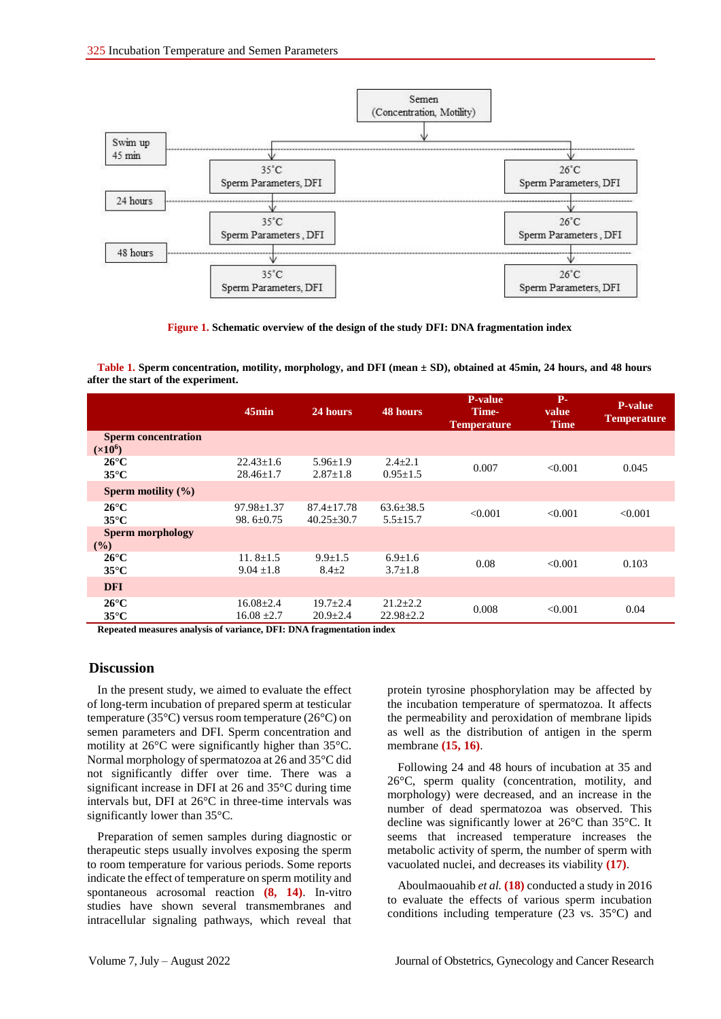

<span id="page-2-0"></span>**Figure 1. Schematic overview of the design of the study DFI: DNA fragmentation index**

<span id="page-2-1"></span>**Table 1. Sperm concentration, motility, morphology, and DFI (mean ± SD), obtained at 45min, 24 hours, and 48 hours after the start of the experiment.**

|                                                   | 45min                              | 24 hours                                    | 48 hours                          | P-value<br>Time-<br><b>Temperature</b> | $P-$<br>value<br><b>Time</b> | <b>P-value</b><br><b>Temperature</b> |
|---------------------------------------------------|------------------------------------|---------------------------------------------|-----------------------------------|----------------------------------------|------------------------------|--------------------------------------|
| <b>Sperm concentration</b><br>(x10 <sup>6</sup> ) |                                    |                                             |                                   |                                        |                              |                                      |
| $26^{\circ}$ C<br>$35^{\circ}$ C                  | $22.43 \pm 1.6$<br>$28.46 \pm 1.7$ | $5.96 \pm 1.9$<br>$2.87 \pm 1.8$            | $2.4 \pm 2.1$<br>$0.95 \pm 1.5$   | 0.007                                  | < 0.001                      | 0.045                                |
| Sperm motility $(\% )$                            |                                    |                                             |                                   |                                        |                              |                                      |
| $26^{\circ}$ C<br>$35^{\circ}$ C                  | $97.98 \pm 1.37$<br>98. $6\pm0.75$ | $87.4 \pm 17.78$<br>$40.25 \pm 30.7$        | $63.6 \pm 38.5$<br>$5.5 \pm 15.7$ | < 0.001                                | < 0.001                      | < 0.001                              |
| <b>Sperm morphology</b><br>$($ %)                 |                                    |                                             |                                   |                                        |                              |                                      |
| $26^{\circ}$ C<br>$35^{\circ}$ C                  | 11.8 $\pm$ 1.5<br>$9.04 \pm 1.8$   | $9.9 \pm 1.5$<br>$8.4 \pm 2$                | $6.9 \pm 1.6$<br>$3.7 \pm 1.8$    | 0.08                                   | < 0.001                      | 0.103                                |
| <b>DFI</b>                                        |                                    |                                             |                                   |                                        |                              |                                      |
| $26^{\circ}$ C<br>$35^{\circ}$ C<br>$\cdots$      | $16.08 \pm 2.4$<br>$16.08 \pm 2.7$ | $19.7 \pm 2.4$<br>$20.9 \pm 2.4$<br>_______ | $21.2 \pm 2.2$<br>$22.98 \pm 2.2$ | 0.008                                  | < 0.001                      | 0.04                                 |

**Repeated measures analysis of variance, DFI: DNA fragmentation index**

### **Discussion**

In the present study, we aimed to evaluate the effect of long-term incubation of prepared sperm at testicular temperature (35°C) versus room temperature (26°C) on semen parameters and DFI. Sperm concentration and motility at 26°C were significantly higher than 35°C. Normal morphology of spermatozoa at 26 and 35°C did not significantly differ over time. There was a significant increase in DFI at 26 and 35°C during time intervals but, DFI at 26°C in three-time intervals was significantly lower than 35°C.

Preparation of semen samples during diagnostic or therapeutic steps usually involves exposing the sperm to room temperature for various periods. Some reports indicate the effect of temperature on sperm motility and spontaneous acrosomal reaction **(8, 14)**. In-vitro studies have shown several transmembranes and intracellular signaling pathways, which reveal that protein tyrosine phosphorylation may be affected by the incubation temperature of spermatozoa. It affects the permeability and peroxidation of membrane lipids as well as the distribution of antigen in the sperm membrane **(15, 16)**.

Following 24 and 48 hours of incubation at 35 and 26°C, sperm quality (concentration, motility, and morphology) were decreased, and an increase in the number of dead spermatozoa was observed. This decline was significantly lower at 26°C than 35°C. It seems that increased temperature increases the metabolic activity of sperm, the number of sperm with vacuolated nuclei, and decreases its viability **(17)**.

Aboulmaouahib *et al.* **(18)** conducted a study in 2016 to evaluate the effects of various sperm incubation conditions including temperature (23 vs. 35°C) and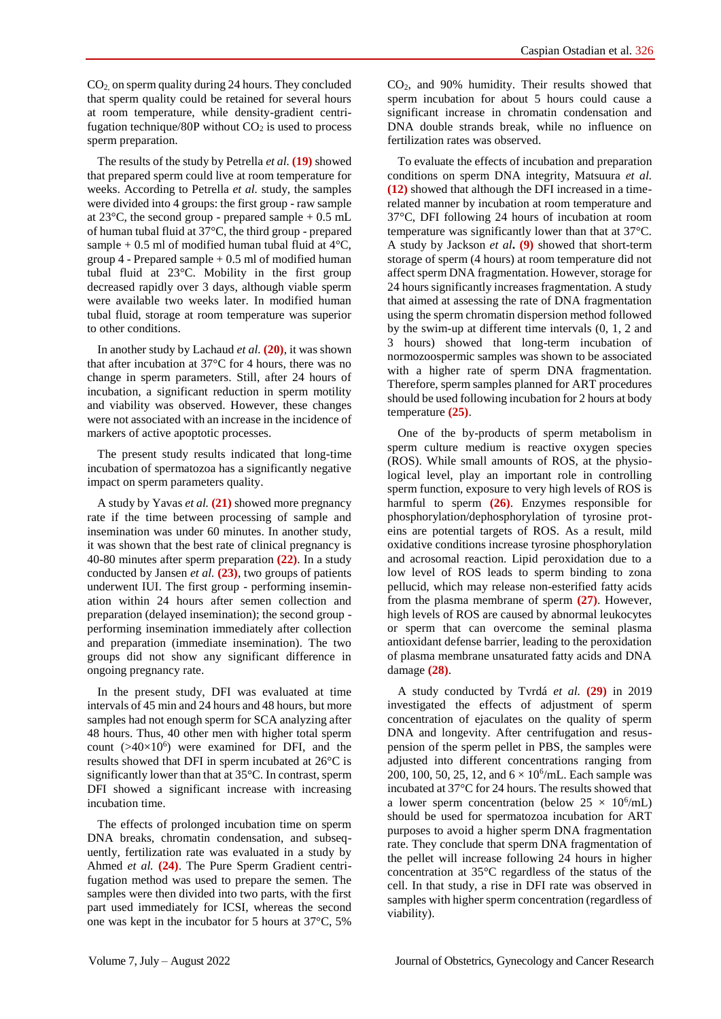CO2, on sperm quality during 24 hours. They concluded that sperm quality could be retained for several hours at room temperature, while density-gradient centrifugation technique/80P without  $CO<sub>2</sub>$  is used to process sperm preparation.

The results of the study by Petrella *et al.* **(19)** showed that prepared sperm could live at room temperature for weeks. According to Petrella *et al.* study, the samples were divided into 4 groups: the first group - raw sample at  $23^{\circ}$ C, the second group - prepared sample  $+ 0.5$  mL of human tubal fluid at 37°C, the third group - prepared sample + 0.5 ml of modified human tubal fluid at  $4^{\circ}$ C, group  $4$  - Prepared sample  $+0.5$  ml of modified human tubal fluid at 23°C. Mobility in the first group decreased rapidly over 3 days, although viable sperm were available two weeks later. In modified human tubal fluid, storage at room temperature was superior to other conditions.

In another study by Lachaud *et al.* **(20)**, it was shown that after incubation at 37°C for 4 hours, there was no change in sperm parameters. Still, after 24 hours of incubation, a significant reduction in sperm motility and viability was observed. However, these changes were not associated with an increase in the incidence of markers of active apoptotic processes.

The present study results indicated that long-time incubation of spermatozoa has a significantly negative impact on sperm parameters quality.

A study by Yavas *et al.* **(21)** showed more pregnancy rate if the time between processing of sample and insemination was under 60 minutes. In another study, it was shown that the best rate of clinical pregnancy is 40-80 minutes after sperm preparation **(22)**. In a study conducted by Jansen *et al.* **(23)**, two groups of patients underwent IUI. The first group - performing insemination within 24 hours after semen collection and preparation (delayed insemination); the second group performing insemination immediately after collection and preparation (immediate insemination). The two groups did not show any significant difference in ongoing pregnancy rate.

In the present study, DFI was evaluated at time intervals of 45 min and 24 hours and 48 hours, but more samples had not enough sperm for SCA analyzing after 48 hours. Thus, 40 other men with higher total sperm count  $(>40\times10^6)$  were examined for DFI, and the results showed that DFI in sperm incubated at 26°C is significantly lower than that at 35°C. In contrast, sperm DFI showed a significant increase with increasing incubation time.

The effects of prolonged incubation time on sperm DNA breaks, chromatin condensation, and subsequently, fertilization rate was evaluated in a study by Ahmed *et al.* **(24)**. The Pure Sperm Gradient centrifugation method was used to prepare the semen. The samples were then divided into two parts, with the first part used immediately for ICSI, whereas the second one was kept in the incubator for 5 hours at 37°C, 5%

CO2, and 90% humidity. Their results showed that sperm incubation for about 5 hours could cause a significant increase in chromatin condensation and DNA double strands break, while no influence on fertilization rates was observed.

To evaluate the effects of incubation and preparation conditions on sperm DNA integrity, Matsuura *et al.*  **(12)** showed that although the DFI increased in a timerelated manner by incubation at room temperature and 37°C, DFI following 24 hours of incubation at room temperature was significantly lower than that at 37°C. A study by Jackson *et al***. (9)** showed that short-term storage of sperm (4 hours) at room temperature did not affect sperm DNA fragmentation. However, storage for 24 hours significantly increases fragmentation. A study that aimed at assessing the rate of DNA fragmentation using the sperm chromatin dispersion method followed by the swim-up at different time intervals (0, 1, 2 and 3 hours) showed that long-term incubation of normozoospermic samples was shown to be associated with a higher rate of sperm DNA fragmentation. Therefore, sperm samples planned for ART procedures should be used following incubation for 2 hours at body temperature **(25)**.

One of the by-products of sperm metabolism in sperm culture medium is reactive oxygen species (ROS). While small amounts of ROS, at the physiological level, play an important role in controlling sperm function, exposure to very high levels of ROS is harmful to sperm **(26)**. Enzymes responsible for phosphorylation/dephosphorylation of tyrosine proteins are potential targets of ROS. As a result, mild oxidative conditions increase tyrosine phosphorylation and acrosomal reaction. Lipid peroxidation due to a low level of ROS leads to sperm binding to zona pellucid, which may release non-esterified fatty acids from the plasma membrane of sperm **(27)**. However, high levels of ROS are caused by abnormal leukocytes or sperm that can overcome the seminal plasma antioxidant defense barrier, leading to the peroxidation of plasma membrane unsaturated fatty acids and DNA damage **(28)**.

A study conducted by Tvrdá *et al.* **(29)** in 2019 investigated the effects of adjustment of sperm concentration of ejaculates on the quality of sperm DNA and longevity. After centrifugation and resuspension of the sperm pellet in PBS, the samples were adjusted into different concentrations ranging from 200, 100, 50, 25, 12, and  $6 \times 10^6$ /mL. Each sample was incubated at 37°C for 24 hours. The results showed that a lower sperm concentration (below  $25 \times 10^6$ /mL) should be used for spermatozoa incubation for ART purposes to avoid a higher sperm DNA fragmentation rate. They conclude that sperm DNA fragmentation of the pellet will increase following 24 hours in higher concentration at 35°C regardless of the status of the cell. In that study, a rise in DFI rate was observed in samples with higher sperm concentration (regardless of viability).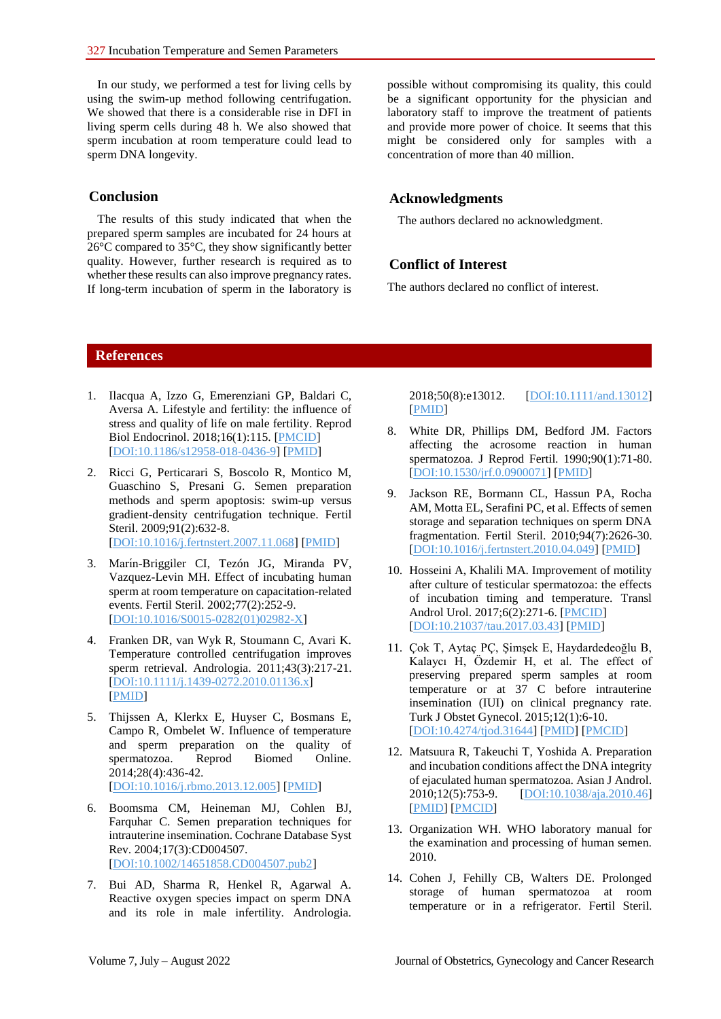In our study, we performed a test for living cells by using the swim-up method following centrifugation. We showed that there is a considerable rise in DFI in living sperm cells during 48 h. We also showed that sperm incubation at room temperature could lead to sperm DNA longevity.

### **Conclusion**

The results of this study indicated that when the prepared sperm samples are incubated for 24 hours at 26°C compared to 35°C, they show significantly better quality. However, further research is required as to whether these results can also improve pregnancy rates. If long-term incubation of sperm in the laboratory is

possible without compromising its quality, this could be a significant opportunity for the physician and laboratory staff to improve the treatment of patients and provide more power of choice. It seems that this might be considered only for samples with a concentration of more than 40 million.

## **Acknowledgments**

The authors declared no acknowledgment.

### **Conflict of Interest**

The authors declared no conflict of interest.

### **References**

- 1. Ilacqua A, Izzo G, Emerenziani GP, Baldari C, Aversa A. Lifestyle and fertility: the influence of stress and quality of life on male fertility. Reprod Biol Endocrinol. 2018;16(1):115. [\[PMCID\]](http://www.ncbi.nlm.nih.gov/pmc/articles/PMC6260894) [\[DOI:10.1186/s12958-018-0436-9\]](https://doi.org/10.1186/s12958-018-0436-9) [\[PMID\]](https://www.ncbi.nlm.nih.gov/pubmed/30474562)
- 2. Ricci G, Perticarari S, Boscolo R, Montico M, Guaschino S, Presani G. Semen preparation methods and sperm apoptosis: swim-up versus gradient-density centrifugation technique. Fertil Steril. 2009;91(2):632-8. [\[DOI:10.1016/j.fertnstert.2007.11.068\]](https://doi.org/10.1016/j.fertnstert.2007.11.068) [\[PMID\]](https://www.ncbi.nlm.nih.gov/pubmed/18206147)
- 3. Marín-Briggiler CI, Tezón JG, Miranda PV, Vazquez-Levin MH. Effect of incubating human sperm at room temperature on capacitation-related events. Fertil Steril. 2002;77(2):252-9. [\[DOI:10.1016/S0015-0282\(01\)02982-X\]](https://doi.org/10.1016/S0015-0282(01)02982-X)
- 4. Franken DR, van Wyk R, Stoumann C, Avari K. Temperature controlled centrifugation improves sperm retrieval. Andrologia. 2011;43(3):217-21. [\[DOI:10.1111/j.1439-0272.2010.01136.x\]](https://doi.org/10.1111/j.1439-0272.2010.01136.x) [\[PMID\]](https://www.ncbi.nlm.nih.gov/pubmed/21561464)
- 5. Thijssen A, Klerkx E, Huyser C, Bosmans E, Campo R, Ombelet W. Influence of temperature and sperm preparation on the quality of spermatozoa. Reprod Biomed Online. 2014;28(4):436-42. [\[DOI:10.1016/j.rbmo.2013.12.005\]](https://doi.org/10.1016/j.rbmo.2013.12.005) [\[PMID\]](https://www.ncbi.nlm.nih.gov/pubmed/24581990)
- 6. Boomsma CM, Heineman MJ, Cohlen BJ, Farquhar C. Semen preparation techniques for intrauterine insemination. Cochrane Database Syst Rev. 2004;17(3):CD004507. [\[DOI:10.1002/14651858.CD004507.pub2\]](https://doi.org/10.1002/14651858.CD004507.pub2)
- 7. Bui AD, Sharma R, Henkel R, Agarwal A. Reactive oxygen species impact on sperm DNA and its role in male infertility. Andrologia.

2018;50(8):e13012. [\[DOI:10.1111/and.13012\]](https://doi.org/10.1111/and.13012) [\[PMID\]](https://www.ncbi.nlm.nih.gov/pubmed/29644708)

- 8. White DR, Phillips DM, Bedford JM. Factors affecting the acrosome reaction in human spermatozoa. J Reprod Fertil. 1990;90(1):71-80. [\[DOI:10.1530/jrf.0.0900071\]](https://doi.org/10.1530/jrf.0.0900071) [\[PMID\]](https://www.ncbi.nlm.nih.gov/pubmed/2231556)
- 9. Jackson RE, Bormann CL, Hassun PA, Rocha AM, Motta EL, Serafini PC, et al. Effects of semen storage and separation techniques on sperm DNA fragmentation. Fertil Steril. 2010;94(7):2626-30. [\[DOI:10.1016/j.fertnstert.2010.04.049\]](https://doi.org/10.1016/j.fertnstert.2010.04.049) [\[PMID\]](https://www.ncbi.nlm.nih.gov/pubmed/20542505)
- 10. Hosseini A, Khalili MA. Improvement of motility after culture of testicular spermatozoa: the effects of incubation timing and temperature. Transl Androl Urol. 2017;6(2):271-6. [\[PMCID\]](http://www.ncbi.nlm.nih.gov/pmc/articles/PMC5422686) [\[DOI:10.21037/tau.2017.03.43\]](https://doi.org/10.21037/tau.2017.03.43) [\[PMID\]](https://www.ncbi.nlm.nih.gov/pubmed/28540235)
- 11. Çok T, Aytaç PÇ, Şimşek E, Haydardedeoğlu B, Kalaycı H, Özdemir H, et al. The effect of preserving prepared sperm samples at room temperature or at 37 C before intrauterine insemination (IUI) on clinical pregnancy rate. Turk J Obstet Gynecol. 2015;12(1):6-10. [\[DOI:10.4274/tjod.31644\]](https://doi.org/10.4274/tjod.31644) [\[PMID\]](https://www.ncbi.nlm.nih.gov/pubmed/28913033) [\[PMCID\]](http://www.ncbi.nlm.nih.gov/pmc/articles/PMC5558408)
- 12. Matsuura R, Takeuchi T, Yoshida A. Preparation and incubation conditions affect the DNA integrity of ejaculated human spermatozoa. Asian J Androl. 2010;12(5):753-9. [\[DOI:10.1038/aja.2010.46\]](https://doi.org/10.1038/aja.2010.46) [\[PMID\]](https://www.ncbi.nlm.nih.gov/pubmed/20562894) [\[PMCID\]](http://www.ncbi.nlm.nih.gov/pmc/articles/PMC3739315)
- 13. Organization WH. WHO laboratory manual for the examination and processing of human semen. 2010.
- 14. Cohen J, Fehilly CB, Walters DE. Prolonged storage of human spermatozoa at room temperature or in a refrigerator. Fertil Steril.